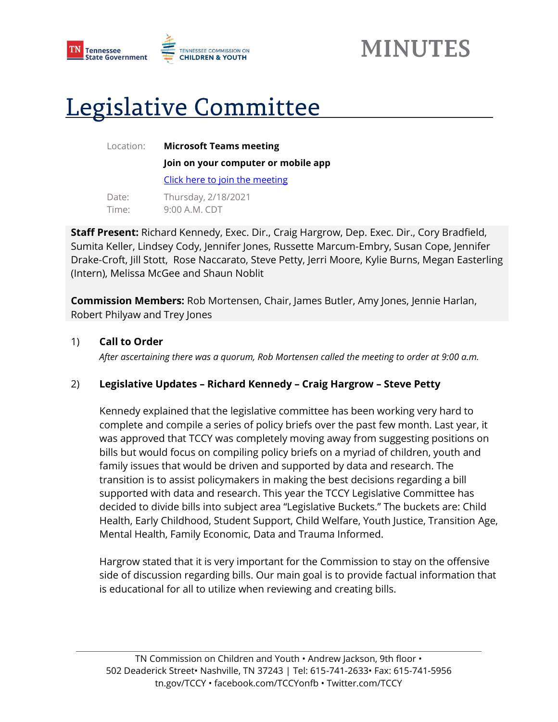

# Legislative Committee

Location: **Microsoft Teams meeting Join on your computer or mobile app** 

[Click here to join the meeting](https://teams.microsoft.com/l/meetup-join/19%3ameeting_YWRhMzdmM2QtNWI4Ni00MmRhLWE5MmYtOWRjMjcwNTdjNTdm%40thread.v2/0?context=%7b%22Tid%22%3a%22f345bebf-0d71-4337-9281-24b941616c36%22%2c%22Oid%22%3a%22cb00c2e9-0a53-4678-a532-740bfe9712c5%22%7d)

| Date: | Thursday, 2/18/2021 |
|-------|---------------------|
| Time: | 9:00 A.M. CDT       |

**Staff Present:** Richard Kennedy, Exec. Dir., Craig Hargrow, Dep. Exec. Dir., Cory Bradfield, Sumita Keller, Lindsey Cody, Jennifer Jones, Russette Marcum-Embry, Susan Cope, Jennifer Drake-Croft, Jill Stott, Rose Naccarato, Steve Petty, Jerri Moore, Kylie Burns, Megan Easterling (Intern), Melissa McGee and Shaun Noblit

**Commission Members:** Rob Mortensen, Chair, James Butler, Amy Jones, Jennie Harlan, Robert Philyaw and Trey Jones

### 1) **Call to Order**

*After ascertaining there was a quorum, Rob Mortensen called the meeting to order at 9:00 a.m.*

## 2) **Legislative Updates – Richard Kennedy – Craig Hargrow – Steve Petty**

Kennedy explained that the legislative committee has been working very hard to complete and compile a series of policy briefs over the past few month. Last year, it was approved that TCCY was completely moving away from suggesting positions on bills but would focus on compiling policy briefs on a myriad of children, youth and family issues that would be driven and supported by data and research. The transition is to assist policymakers in making the best decisions regarding a bill supported with data and research. This year the TCCY Legislative Committee has decided to divide bills into subject area "Legislative Buckets." The buckets are: Child Health, Early Childhood, Student Support, Child Welfare, Youth Justice, Transition Age, Mental Health, Family Economic, Data and Trauma Informed.

Hargrow stated that it is very important for the Commission to stay on the offensive side of discussion regarding bills. Our main goal is to provide factual information that is educational for all to utilize when reviewing and creating bills.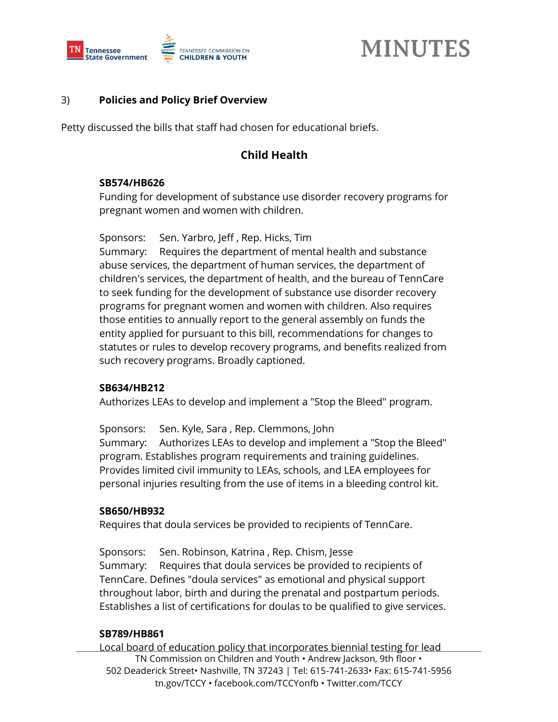

### 3) **Policies and Policy Brief Overview**

Petty discussed the bills that staff had chosen for educational briefs.

## **Child Health**

#### **SB574/HB626**

Funding for development of substance use disorder recovery programs for pregnant women and women with children.

Sponsors: Sen. Yarbro, Jeff , Rep. Hicks, Tim

Summary: Requires the department of mental health and substance abuse services, the department of human services, the department of children's services, the department of health, and the bureau of TennCare to seek funding for the development of substance use disorder recovery programs for pregnant women and women with children. Also requires those entities to annually report to the general assembly on funds the entity applied for pursuant to this bill, recommendations for changes to statutes or rules to develop recovery programs, and benefits realized from such recovery programs. Broadly captioned.

#### **SB634/HB212**

Authorizes LEAs to develop and implement a "Stop the Bleed" program.

Sponsors: Sen. Kyle, Sara , Rep. Clemmons, John Summary: Authorizes LEAs to develop and implement a "Stop the Bleed" program. Establishes program requirements and training guidelines. Provides limited civil immunity to LEAs, schools, and LEA employees for personal injuries resulting from the use of items in a bleeding control kit.

#### **SB650/HB932**

Requires that doula services be provided to recipients of TennCare.

Sponsors: Sen. Robinson, Katrina , Rep. Chism, Jesse Summary: Requires that doula services be provided to recipients of TennCare. Defines "doula services" as emotional and physical support throughout labor, birth and during the prenatal and postpartum periods. Establishes a list of certifications for doulas to be qualified to give services.

#### **SB789/HB861**

TN Commission on Children and Youth • Andrew Jackson, 9th floor • 502 Deaderick Street• Nashville, TN 37243 | Tel: 615-741-2633• Fax: 615-741-5956 tn.gov/TCCY • facebook.com/TCCYonfb • Twitter.com/TCCY Local board of education policy that incorporates biennial testing for lead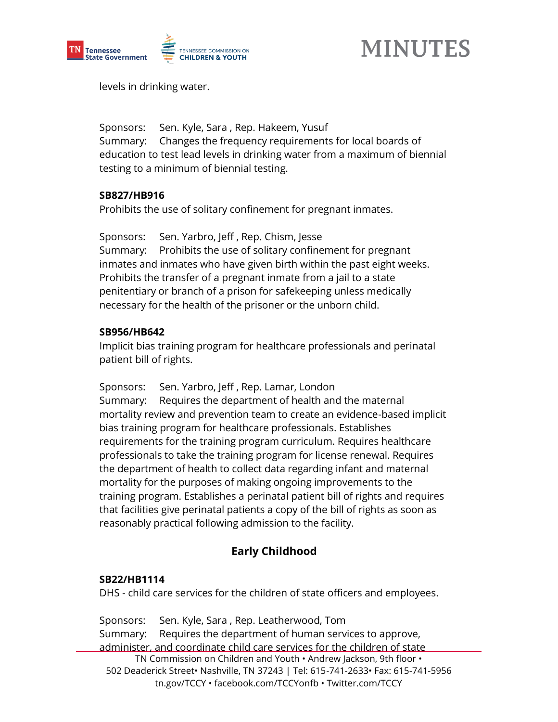

levels in drinking water.

Sponsors: Sen. Kyle, Sara , Rep. Hakeem, Yusuf Summary: Changes the frequency requirements for local boards of education to test lead levels in drinking water from a maximum of biennial testing to a minimum of biennial testing.

#### **SB827/HB916**

Prohibits the use of solitary confinement for pregnant inmates.

Sponsors: Sen. Yarbro, Jeff , Rep. Chism, Jesse Summary: Prohibits the use of solitary confinement for pregnant inmates and inmates who have given birth within the past eight weeks. Prohibits the transfer of a pregnant inmate from a jail to a state penitentiary or branch of a prison for safekeeping unless medically necessary for the health of the prisoner or the unborn child.

#### **SB956/HB642**

Implicit bias training program for healthcare professionals and perinatal patient bill of rights.

Sponsors: Sen. Yarbro, Jeff , Rep. Lamar, London Summary: Requires the department of health and the maternal mortality review and prevention team to create an evidence-based implicit bias training program for healthcare professionals. Establishes requirements for the training program curriculum. Requires healthcare professionals to take the training program for license renewal. Requires the department of health to collect data regarding infant and maternal mortality for the purposes of making ongoing improvements to the training program. Establishes a perinatal patient bill of rights and requires that facilities give perinatal patients a copy of the bill of rights as soon as reasonably practical following admission to the facility.

# **Early Childhood**

#### **SB22/HB1114**

DHS - child care services for the children of state officers and employees.

TN Commission on Children and Youth • Andrew Jackson, 9th floor • 502 Deaderick Street• Nashville, TN 37243 | Tel: 615-741-2633• Fax: 615-741-5956 tn.gov/TCCY • facebook.com/TCCYonfb • Twitter.com/TCCY Sponsors: Sen. Kyle, Sara , Rep. Leatherwood, Tom Summary: Requires the department of human services to approve, administer, and coordinate child care services for the children of state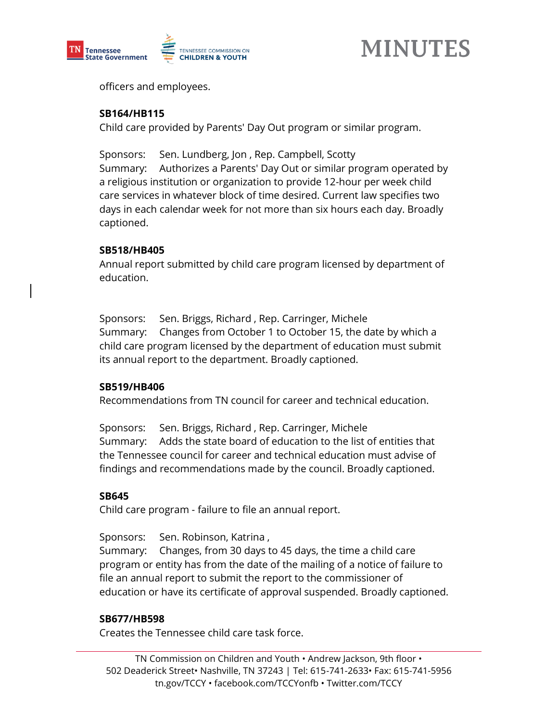



officers and employees.

#### **SB164/HB115**

Child care provided by Parents' Day Out program or similar program.

Sponsors: Sen. Lundberg, Jon , Rep. Campbell, Scotty Summary: Authorizes a Parents' Day Out or similar program operated by a religious institution or organization to provide 12-hour per week child care services in whatever block of time desired. Current law specifies two days in each calendar week for not more than six hours each day. Broadly captioned.

### **SB518/HB405**

Annual report submitted by child care program licensed by department of education.

Sponsors: Sen. Briggs, Richard , Rep. Carringer, Michele Summary: Changes from October 1 to October 15, the date by which a child care program licensed by the department of education must submit its annual report to the department. Broadly captioned.

#### **SB519/HB406**

Recommendations from TN council for career and technical education.

Sponsors: Sen. Briggs, Richard , Rep. Carringer, Michele Summary: Adds the state board of education to the list of entities that the Tennessee council for career and technical education must advise of findings and recommendations made by the council. Broadly captioned.

## **SB645**

Child care program - failure to file an annual report.

Sponsors: Sen. Robinson, Katrina ,

Summary: Changes, from 30 days to 45 days, the time a child care program or entity has from the date of the mailing of a notice of failure to file an annual report to submit the report to the commissioner of education or have its certificate of approval suspended. Broadly captioned.

## **SB677/HB598**

Creates the Tennessee child care task force.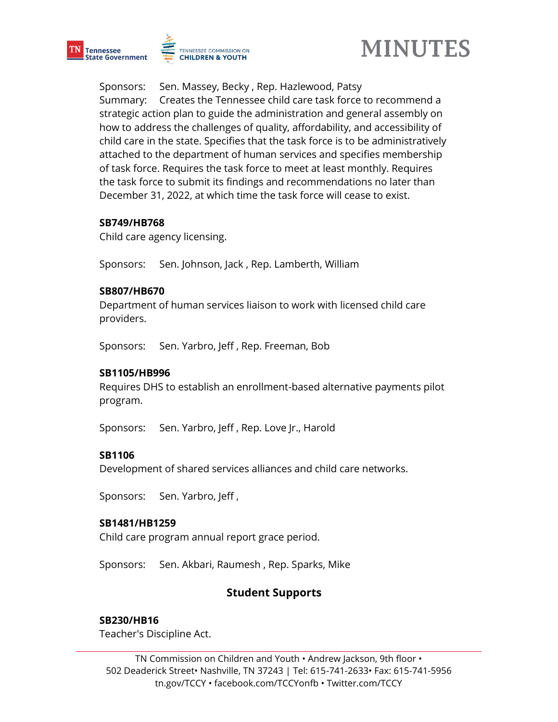



Sponsors: Sen. Massey, Becky , Rep. Hazlewood, Patsy Summary: Creates the Tennessee child care task force to recommend a strategic action plan to guide the administration and general assembly on how to address the challenges of quality, affordability, and accessibility of child care in the state. Specifies that the task force is to be administratively attached to the department of human services and specifies membership of task force. Requires the task force to meet at least monthly. Requires the task force to submit its findings and recommendations no later than December 31, 2022, at which time the task force will cease to exist.

#### **SB749/HB768**

Child care agency licensing.

Sponsors: Sen. Johnson, Jack , Rep. Lamberth, William

#### **SB807/HB670**

Department of human services liaison to work with licensed child care providers.

Sponsors: Sen. Yarbro, Jeff , Rep. Freeman, Bob

#### **SB1105/HB996**

Requires DHS to establish an enrollment-based alternative payments pilot program.

Sponsors: Sen. Yarbro, Jeff , Rep. Love Jr., Harold

#### **SB1106**

Development of shared services alliances and child care networks.

Sponsors: Sen. Yarbro, Jeff ,

#### **SB1481/HB1259**

Child care program annual report grace period.

Sponsors: Sen. Akbari, Raumesh , Rep. Sparks, Mike

## **Student Supports**

#### **SB230/HB16**

Teacher's Discipline Act.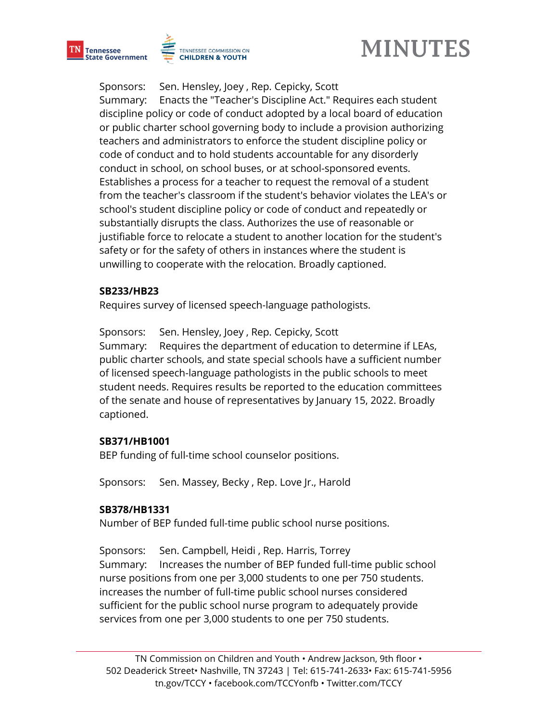





Sponsors: Sen. Hensley, Joey , Rep. Cepicky, Scott

Summary: Enacts the "Teacher's Discipline Act." Requires each student discipline policy or code of conduct adopted by a local board of education or public charter school governing body to include a provision authorizing teachers and administrators to enforce the student discipline policy or code of conduct and to hold students accountable for any disorderly conduct in school, on school buses, or at school-sponsored events. Establishes a process for a teacher to request the removal of a student from the teacher's classroom if the student's behavior violates the LEA's or school's student discipline policy or code of conduct and repeatedly or substantially disrupts the class. Authorizes the use of reasonable or justifiable force to relocate a student to another location for the student's safety or for the safety of others in instances where the student is unwilling to cooperate with the relocation. Broadly captioned.

#### **SB233/HB23**

Requires survey of licensed speech-language pathologists.

Sponsors: Sen. Hensley, Joey , Rep. Cepicky, Scott Summary: Requires the department of education to determine if LEAs, public charter schools, and state special schools have a sufficient number of licensed speech-language pathologists in the public schools to meet student needs. Requires results be reported to the education committees of the senate and house of representatives by January 15, 2022. Broadly captioned.

#### **SB371/HB1001**

BEP funding of full-time school counselor positions.

Sponsors: Sen. Massey, Becky , Rep. Love Jr., Harold

#### **SB378/HB1331**

Number of BEP funded full-time public school nurse positions.

Sponsors: Sen. Campbell, Heidi , Rep. Harris, Torrey Summary: Increases the number of BEP funded full-time public school nurse positions from one per 3,000 students to one per 750 students. increases the number of full-time public school nurses considered sufficient for the public school nurse program to adequately provide services from one per 3,000 students to one per 750 students.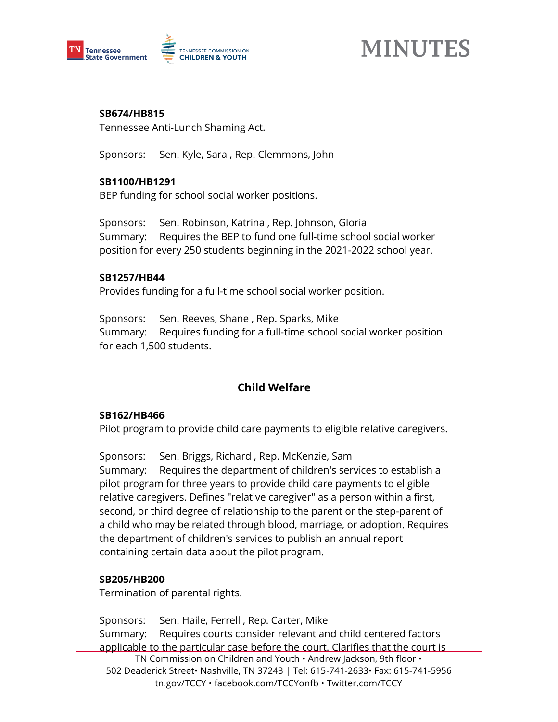

#### **SB674/HB815**

Tennessee Anti-Lunch Shaming Act.

Sponsors: Sen. Kyle, Sara , Rep. Clemmons, John

#### **SB1100/HB1291**

BEP funding for school social worker positions.

Sponsors: Sen. Robinson, Katrina , Rep. Johnson, Gloria Summary: Requires the BEP to fund one full-time school social worker position for every 250 students beginning in the 2021-2022 school year.

#### **SB1257/HB44**

Provides funding for a full-time school social worker position.

Sponsors: Sen. Reeves, Shane , Rep. Sparks, Mike Summary: Requires funding for a full-time school social worker position for each 1,500 students.

# **Child Welfare**

#### **SB162/HB466**

Pilot program to provide child care payments to eligible relative caregivers.

Sponsors: Sen. Briggs, Richard , Rep. McKenzie, Sam Summary: Requires the department of children's services to establish a pilot program for three years to provide child care payments to eligible relative caregivers. Defines "relative caregiver" as a person within a first, second, or third degree of relationship to the parent or the step-parent of a child who may be related through blood, marriage, or adoption. Requires the department of children's services to publish an annual report containing certain data about the pilot program.

#### **SB205/HB200**

Termination of parental rights.

TN Commission on Children and Youth • Andrew Jackson, 9th floor • 502 Deaderick Street• Nashville, TN 37243 | Tel: 615-741-2633• Fax: 615-741-5956 tn.gov/TCCY • facebook.com/TCCYonfb • Twitter.com/TCCY Sponsors: Sen. Haile, Ferrell , Rep. Carter, Mike Summary: Requires courts consider relevant and child centered factors applicable to the particular case before the court. Clarifies that the court is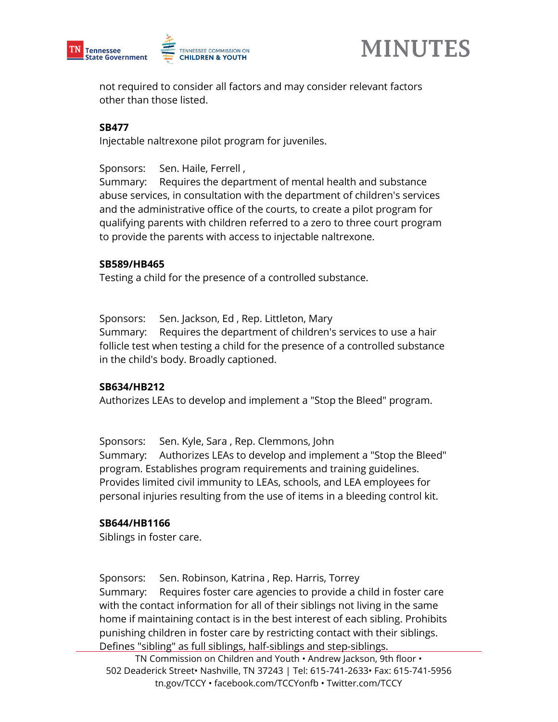



not required to consider all factors and may consider relevant factors other than those listed.

### **SB477**

Injectable naltrexone pilot program for juveniles.

Sponsors: Sen. Haile, Ferrell ,

Summary: Requires the department of mental health and substance abuse services, in consultation with the department of children's services and the administrative office of the courts, to create a pilot program for qualifying parents with children referred to a zero to three court program to provide the parents with access to injectable naltrexone.

#### **SB589/HB465**

Testing a child for the presence of a controlled substance.

Sponsors: Sen. Jackson, Ed , Rep. Littleton, Mary Summary: Requires the department of children's services to use a hair follicle test when testing a child for the presence of a controlled substance in the child's body. Broadly captioned.

#### **SB634/HB212**

Authorizes LEAs to develop and implement a "Stop the Bleed" program.

Sponsors: Sen. Kyle, Sara , Rep. Clemmons, John Summary: Authorizes LEAs to develop and implement a "Stop the Bleed" program. Establishes program requirements and training guidelines. Provides limited civil immunity to LEAs, schools, and LEA employees for personal injuries resulting from the use of items in a bleeding control kit.

#### **SB644/HB1166**

Siblings in foster care.

Sponsors: Sen. Robinson, Katrina , Rep. Harris, Torrey Summary: Requires foster care agencies to provide a child in foster care with the contact information for all of their siblings not living in the same home if maintaining contact is in the best interest of each sibling. Prohibits punishing children in foster care by restricting contact with their siblings. Defines "sibling" as full siblings, half-siblings and step-siblings.

TN Commission on Children and Youth • Andrew Jackson, 9th floor • 502 Deaderick Street• Nashville, TN 37243 | Tel: 615-741-2633• Fax: 615-741-5956 tn.gov/TCCY • facebook.com/TCCYonfb • Twitter.com/TCCY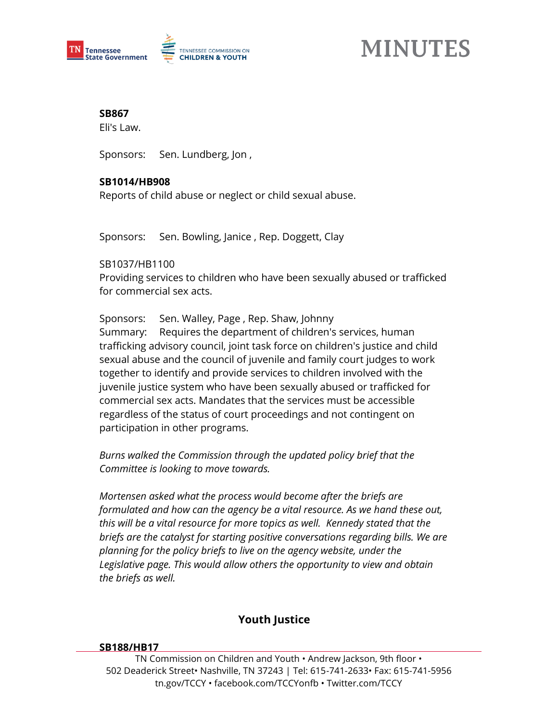

**SB867** 

Eli's Law.

Sponsors: Sen. Lundberg, Jon ,

### **SB1014/HB908**

Reports of child abuse or neglect or child sexual abuse.

Sponsors: Sen. Bowling, Janice , Rep. Doggett, Clay

#### SB1037/HB1100

Providing services to children who have been sexually abused or trafficked for commercial sex acts.

Sponsors: Sen. Walley, Page , Rep. Shaw, Johnny

Summary: Requires the department of children's services, human trafficking advisory council, joint task force on children's justice and child sexual abuse and the council of juvenile and family court judges to work together to identify and provide services to children involved with the juvenile justice system who have been sexually abused or trafficked for commercial sex acts. Mandates that the services must be accessible regardless of the status of court proceedings and not contingent on participation in other programs.

*Burns walked the Commission through the updated policy brief that the Committee is looking to move towards.* 

*Mortensen asked what the process would become after the briefs are formulated and how can the agency be a vital resource. As we hand these out, this will be a vital resource for more topics as well. Kennedy stated that the briefs are the catalyst for starting positive conversations regarding bills. We are planning for the policy briefs to live on the agency website, under the Legislative page. This would allow others the opportunity to view and obtain the briefs as well.* 

# **Youth Justice**

#### **SB188/HB17**

TN Commission on Children and Youth • Andrew Jackson, 9th floor • 502 Deaderick Street• Nashville, TN 37243 | Tel: 615-741-2633• Fax: 615-741-5956 tn.gov/TCCY • facebook.com/TCCYonfb • Twitter.com/TCCY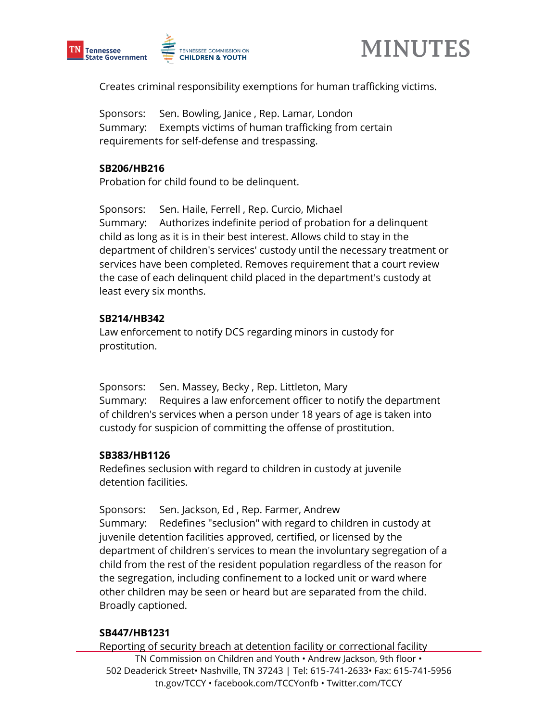



Creates criminal responsibility exemptions for human trafficking victims.

Sponsors: Sen. Bowling, Janice , Rep. Lamar, London Summary: Exempts victims of human trafficking from certain requirements for self-defense and trespassing.

#### **SB206/HB216**

Probation for child found to be delinquent.

Sponsors: Sen. Haile, Ferrell , Rep. Curcio, Michael Summary: Authorizes indefinite period of probation for a delinquent child as long as it is in their best interest. Allows child to stay in the department of children's services' custody until the necessary treatment or services have been completed. Removes requirement that a court review the case of each delinquent child placed in the department's custody at least every six months.

#### **SB214/HB342**

Law enforcement to notify DCS regarding minors in custody for prostitution.

Sponsors: Sen. Massey, Becky , Rep. Littleton, Mary Summary: Requires a law enforcement officer to notify the department of children's services when a person under 18 years of age is taken into custody for suspicion of committing the offense of prostitution.

#### **SB383/HB1126**

Redefines seclusion with regard to children in custody at juvenile detention facilities.

Sponsors: Sen. Jackson, Ed , Rep. Farmer, Andrew Summary: Redefines "seclusion" with regard to children in custody at juvenile detention facilities approved, certified, or licensed by the department of children's services to mean the involuntary segregation of a child from the rest of the resident population regardless of the reason for the segregation, including confinement to a locked unit or ward where other children may be seen or heard but are separated from the child. Broadly captioned.

#### **SB447/HB1231**

TN Commission on Children and Youth • Andrew Jackson, 9th floor • 502 Deaderick Street• Nashville, TN 37243 | Tel: 615-741-2633• Fax: 615-741-5956 tn.gov/TCCY • facebook.com/TCCYonfb • Twitter.com/TCCY Reporting of security breach at detention facility or correctional facility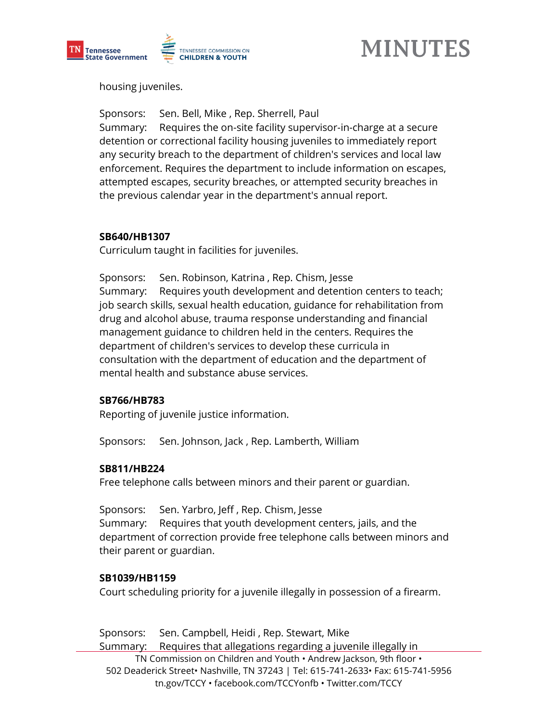

housing juveniles.

Sponsors: Sen. Bell, Mike , Rep. Sherrell, Paul Summary: Requires the on-site facility supervisor-in-charge at a secure detention or correctional facility housing juveniles to immediately report any security breach to the department of children's services and local law enforcement. Requires the department to include information on escapes, attempted escapes, security breaches, or attempted security breaches in the previous calendar year in the department's annual report.

#### **SB640/HB1307**

Curriculum taught in facilities for juveniles.

Sponsors: Sen. Robinson, Katrina , Rep. Chism, Jesse Summary: Requires youth development and detention centers to teach; job search skills, sexual health education, guidance for rehabilitation from drug and alcohol abuse, trauma response understanding and financial management guidance to children held in the centers. Requires the department of children's services to develop these curricula in consultation with the department of education and the department of mental health and substance abuse services.

#### **SB766/HB783**

Reporting of juvenile justice information.

Sponsors: Sen. Johnson, Jack , Rep. Lamberth, William

#### **SB811/HB224**

Free telephone calls between minors and their parent or guardian.

Sponsors: Sen. Yarbro, Jeff , Rep. Chism, Jesse Summary: Requires that youth development centers, jails, and the department of correction provide free telephone calls between minors and their parent or guardian.

#### **SB1039/HB1159**

Court scheduling priority for a juvenile illegally in possession of a firearm.

TN Commission on Children and Youth • Andrew Jackson, 9th floor • 502 Deaderick Street• Nashville, TN 37243 | Tel: 615-741-2633• Fax: 615-741-5956 tn.gov/TCCY • facebook.com/TCCYonfb • Twitter.com/TCCY Sponsors: Sen. Campbell, Heidi , Rep. Stewart, Mike Summary: Requires that allegations regarding a juvenile illegally in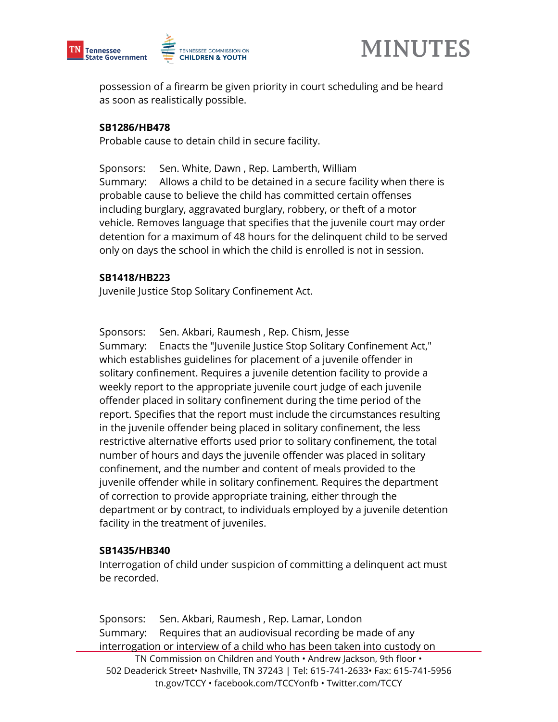



possession of a firearm be given priority in court scheduling and be heard as soon as realistically possible.

#### **SB1286/HB478**

Probable cause to detain child in secure facility.

Sponsors: Sen. White, Dawn , Rep. Lamberth, William Summary: Allows a child to be detained in a secure facility when there is probable cause to believe the child has committed certain offenses including burglary, aggravated burglary, robbery, or theft of a motor vehicle. Removes language that specifies that the juvenile court may order detention for a maximum of 48 hours for the delinquent child to be served only on days the school in which the child is enrolled is not in session.

#### **SB1418/HB223**

Juvenile Justice Stop Solitary Confinement Act.

Sponsors: Sen. Akbari, Raumesh , Rep. Chism, Jesse Summary: Enacts the "Juvenile Justice Stop Solitary Confinement Act," which establishes guidelines for placement of a juvenile offender in solitary confinement. Requires a juvenile detention facility to provide a weekly report to the appropriate juvenile court judge of each juvenile offender placed in solitary confinement during the time period of the report. Specifies that the report must include the circumstances resulting in the juvenile offender being placed in solitary confinement, the less restrictive alternative efforts used prior to solitary confinement, the total number of hours and days the juvenile offender was placed in solitary confinement, and the number and content of meals provided to the juvenile offender while in solitary confinement. Requires the department of correction to provide appropriate training, either through the department or by contract, to individuals employed by a juvenile detention facility in the treatment of juveniles.

#### **SB1435/HB340**

Interrogation of child under suspicion of committing a delinquent act must be recorded.

TN Commission on Children and Youth • Andrew Jackson, 9th floor • 502 Deaderick Street• Nashville, TN 37243 | Tel: 615-741-2633• Fax: 615-741-5956 tn.gov/TCCY • facebook.com/TCCYonfb • Twitter.com/TCCY Sponsors: Sen. Akbari, Raumesh , Rep. Lamar, London Summary: Requires that an audiovisual recording be made of any interrogation or interview of a child who has been taken into custody on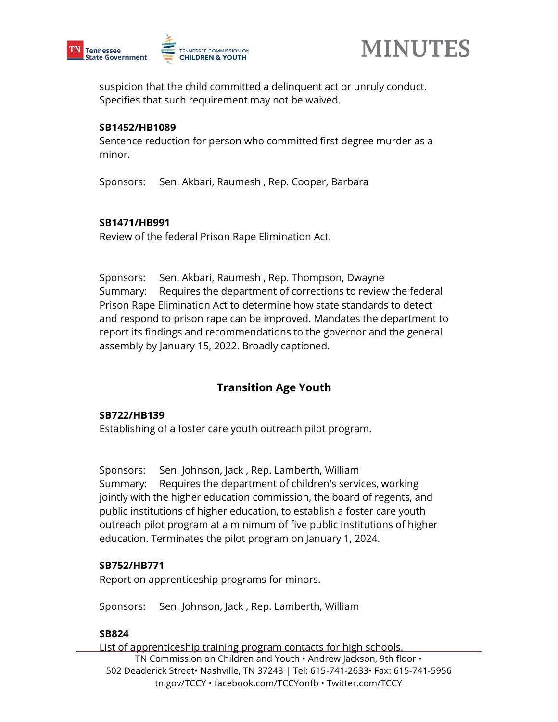



suspicion that the child committed a delinquent act or unruly conduct. Specifies that such requirement may not be waived.

#### **SB1452/HB1089**

Sentence reduction for person who committed first degree murder as a minor.

Sponsors: Sen. Akbari, Raumesh , Rep. Cooper, Barbara

#### **SB1471/HB991**

Review of the federal Prison Rape Elimination Act.

Sponsors: Sen. Akbari, Raumesh , Rep. Thompson, Dwayne Summary: Requires the department of corrections to review the federal Prison Rape Elimination Act to determine how state standards to detect and respond to prison rape can be improved. Mandates the department to report its findings and recommendations to the governor and the general assembly by January 15, 2022. Broadly captioned.

# **Transition Age Youth**

#### **SB722/HB139**

Establishing of a foster care youth outreach pilot program.

Sponsors: Sen. Johnson, Jack , Rep. Lamberth, William Summary: Requires the department of children's services, working jointly with the higher education commission, the board of regents, and public institutions of higher education, to establish a foster care youth outreach pilot program at a minimum of five public institutions of higher education. Terminates the pilot program on January 1, 2024.

#### **SB752/HB771**

Report on apprenticeship programs for minors.

Sponsors: Sen. Johnson, Jack , Rep. Lamberth, William

#### **SB824**

TN Commission on Children and Youth • Andrew Jackson, 9th floor • 502 Deaderick Street• Nashville, TN 37243 | Tel: 615-741-2633• Fax: 615-741-5956 tn.gov/TCCY • facebook.com/TCCYonfb • Twitter.com/TCCY List of apprenticeship training program contacts for high schools.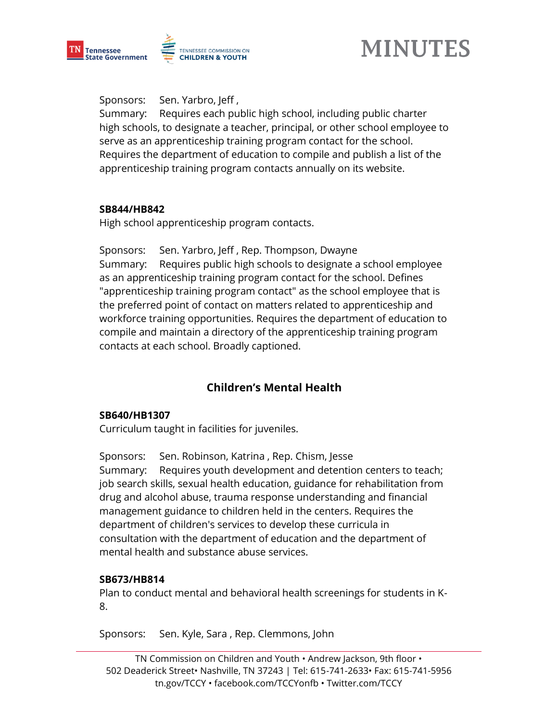

Sponsors: Sen. Yarbro, Jeff ,

Summary: Requires each public high school, including public charter high schools, to designate a teacher, principal, or other school employee to serve as an apprenticeship training program contact for the school. Requires the department of education to compile and publish a list of the apprenticeship training program contacts annually on its website.

#### **SB844/HB842**

High school apprenticeship program contacts.

Sponsors: Sen. Yarbro, Jeff , Rep. Thompson, Dwayne Summary: Requires public high schools to designate a school employee as an apprenticeship training program contact for the school. Defines "apprenticeship training program contact" as the school employee that is the preferred point of contact on matters related to apprenticeship and workforce training opportunities. Requires the department of education to compile and maintain a directory of the apprenticeship training program contacts at each school. Broadly captioned.

# **Children's Mental Health**

#### **SB640/HB1307**

Curriculum taught in facilities for juveniles.

Sponsors: Sen. Robinson, Katrina , Rep. Chism, Jesse Summary: Requires youth development and detention centers to teach; job search skills, sexual health education, guidance for rehabilitation from drug and alcohol abuse, trauma response understanding and financial management guidance to children held in the centers. Requires the department of children's services to develop these curricula in consultation with the department of education and the department of mental health and substance abuse services.

#### **SB673/HB814**

Plan to conduct mental and behavioral health screenings for students in K-8.

Sponsors: Sen. Kyle, Sara , Rep. Clemmons, John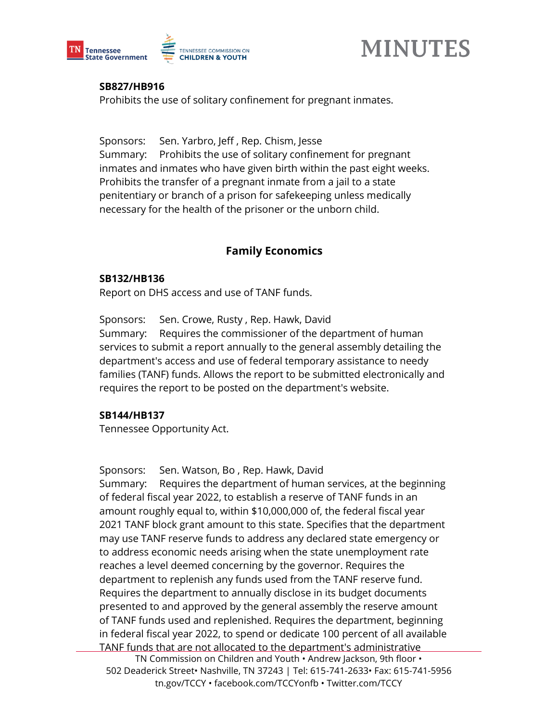



#### **SB827/HB916**

Prohibits the use of solitary confinement for pregnant inmates.

Sponsors: Sen. Yarbro, Jeff , Rep. Chism, Jesse

Summary: Prohibits the use of solitary confinement for pregnant inmates and inmates who have given birth within the past eight weeks. Prohibits the transfer of a pregnant inmate from a jail to a state penitentiary or branch of a prison for safekeeping unless medically necessary for the health of the prisoner or the unborn child.

## **Family Economics**

#### **SB132/HB136**

Report on DHS access and use of TANF funds.

Sponsors: Sen. Crowe, Rusty , Rep. Hawk, David Summary: Requires the commissioner of the department of human services to submit a report annually to the general assembly detailing the department's access and use of federal temporary assistance to needy families (TANF) funds. Allows the report to be submitted electronically and requires the report to be posted on the department's website.

#### **SB144/HB137**

Tennessee Opportunity Act.

Sponsors: Sen. Watson, Bo , Rep. Hawk, David Summary: Requires the department of human services, at the beginning of federal fiscal year 2022, to establish a reserve of TANF funds in an amount roughly equal to, within \$10,000,000 of, the federal fiscal year 2021 TANF block grant amount to this state. Specifies that the department may use TANF reserve funds to address any declared state emergency or to address economic needs arising when the state unemployment rate reaches a level deemed concerning by the governor. Requires the department to replenish any funds used from the TANF reserve fund. Requires the department to annually disclose in its budget documents presented to and approved by the general assembly the reserve amount of TANF funds used and replenished. Requires the department, beginning in federal fiscal year 2022, to spend or dedicate 100 percent of all available TANF funds that are not allocated to the department's administrative

TN Commission on Children and Youth • Andrew Jackson, 9th floor • 502 Deaderick Street• Nashville, TN 37243 | Tel: 615-741-2633• Fax: 615-741-5956 tn.gov/TCCY • facebook.com/TCCYonfb • Twitter.com/TCCY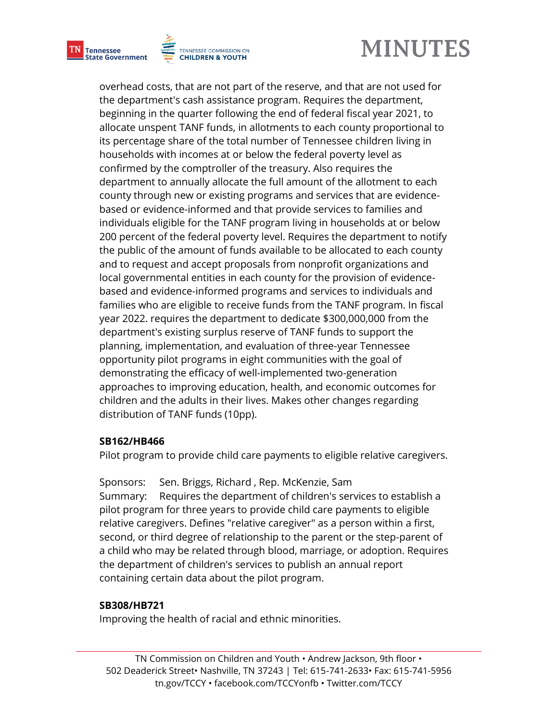





overhead costs, that are not part of the reserve, and that are not used for the department's cash assistance program. Requires the department, beginning in the quarter following the end of federal fiscal year 2021, to allocate unspent TANF funds, in allotments to each county proportional to its percentage share of the total number of Tennessee children living in households with incomes at or below the federal poverty level as confirmed by the comptroller of the treasury. Also requires the department to annually allocate the full amount of the allotment to each county through new or existing programs and services that are evidencebased or evidence-informed and that provide services to families and individuals eligible for the TANF program living in households at or below 200 percent of the federal poverty level. Requires the department to notify the public of the amount of funds available to be allocated to each county and to request and accept proposals from nonprofit organizations and local governmental entities in each county for the provision of evidencebased and evidence-informed programs and services to individuals and families who are eligible to receive funds from the TANF program. In fiscal year 2022. requires the department to dedicate \$300,000,000 from the department's existing surplus reserve of TANF funds to support the planning, implementation, and evaluation of three-year Tennessee opportunity pilot programs in eight communities with the goal of demonstrating the efficacy of well-implemented two-generation approaches to improving education, health, and economic outcomes for children and the adults in their lives. Makes other changes regarding distribution of TANF funds (10pp).

#### **SB162/HB466**

Pilot program to provide child care payments to eligible relative caregivers.

Sponsors: Sen. Briggs, Richard , Rep. McKenzie, Sam Summary: Requires the department of children's services to establish a pilot program for three years to provide child care payments to eligible relative caregivers. Defines "relative caregiver" as a person within a first, second, or third degree of relationship to the parent or the step-parent of a child who may be related through blood, marriage, or adoption. Requires the department of children's services to publish an annual report containing certain data about the pilot program.

## **SB308/HB721**

Improving the health of racial and ethnic minorities.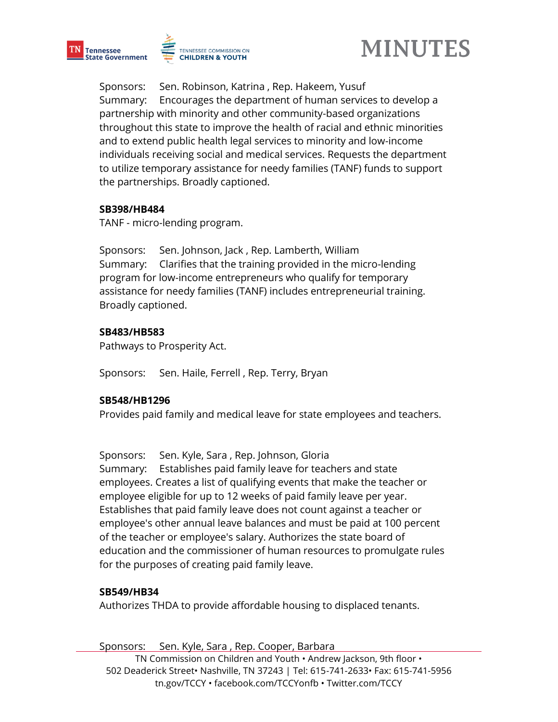





Sponsors: Sen. Robinson, Katrina , Rep. Hakeem, Yusuf Summary: Encourages the department of human services to develop a partnership with minority and other community-based organizations throughout this state to improve the health of racial and ethnic minorities and to extend public health legal services to minority and low-income individuals receiving social and medical services. Requests the department to utilize temporary assistance for needy families (TANF) funds to support the partnerships. Broadly captioned.

#### **SB398/HB484**

TANF - micro-lending program.

Sponsors: Sen. Johnson, Jack , Rep. Lamberth, William Summary: Clarifies that the training provided in the micro-lending program for low-income entrepreneurs who qualify for temporary assistance for needy families (TANF) includes entrepreneurial training. Broadly captioned.

#### **SB483/HB583**

Pathways to Prosperity Act.

Sponsors: Sen. Haile, Ferrell , Rep. Terry, Bryan

#### **SB548/HB1296**

Provides paid family and medical leave for state employees and teachers.

Sponsors: Sen. Kyle, Sara , Rep. Johnson, Gloria

Summary: Establishes paid family leave for teachers and state employees. Creates a list of qualifying events that make the teacher or employee eligible for up to 12 weeks of paid family leave per year. Establishes that paid family leave does not count against a teacher or employee's other annual leave balances and must be paid at 100 percent of the teacher or employee's salary. Authorizes the state board of education and the commissioner of human resources to promulgate rules for the purposes of creating paid family leave.

#### **SB549/HB34**

Authorizes THDA to provide affordable housing to displaced tenants.

TN Commission on Children and Youth • Andrew Jackson, 9th floor • 502 Deaderick Street• Nashville, TN 37243 | Tel: 615-741-2633• Fax: 615-741-5956 tn.gov/TCCY • facebook.com/TCCYonfb • Twitter.com/TCCY Sponsors: Sen. Kyle, Sara , Rep. Cooper, Barbara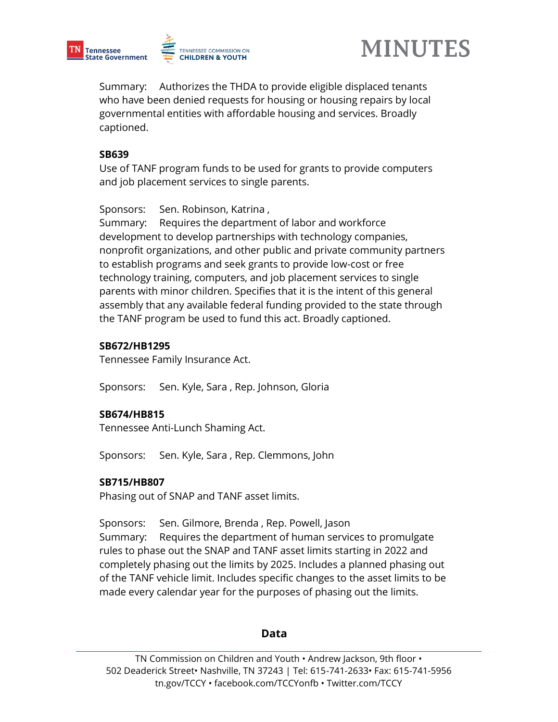





Summary: Authorizes the THDA to provide eligible displaced tenants who have been denied requests for housing or housing repairs by local governmental entities with affordable housing and services. Broadly captioned.

#### **SB639**

Use of TANF program funds to be used for grants to provide computers and job placement services to single parents.

Sponsors: Sen. Robinson, Katrina ,

Summary: Requires the department of labor and workforce development to develop partnerships with technology companies, nonprofit organizations, and other public and private community partners to establish programs and seek grants to provide low-cost or free technology training, computers, and job placement services to single parents with minor children. Specifies that it is the intent of this general assembly that any available federal funding provided to the state through the TANF program be used to fund this act. Broadly captioned.

#### **SB672/HB1295**

Tennessee Family Insurance Act.

Sponsors: Sen. Kyle, Sara , Rep. Johnson, Gloria

#### **SB674/HB815**

Tennessee Anti-Lunch Shaming Act.

Sponsors: Sen. Kyle, Sara , Rep. Clemmons, John

#### **SB715/HB807**

Phasing out of SNAP and TANF asset limits.

Sponsors: Sen. Gilmore, Brenda , Rep. Powell, Jason

Summary: Requires the department of human services to promulgate rules to phase out the SNAP and TANF asset limits starting in 2022 and completely phasing out the limits by 2025. Includes a planned phasing out of the TANF vehicle limit. Includes specific changes to the asset limits to be made every calendar year for the purposes of phasing out the limits.

#### **Data**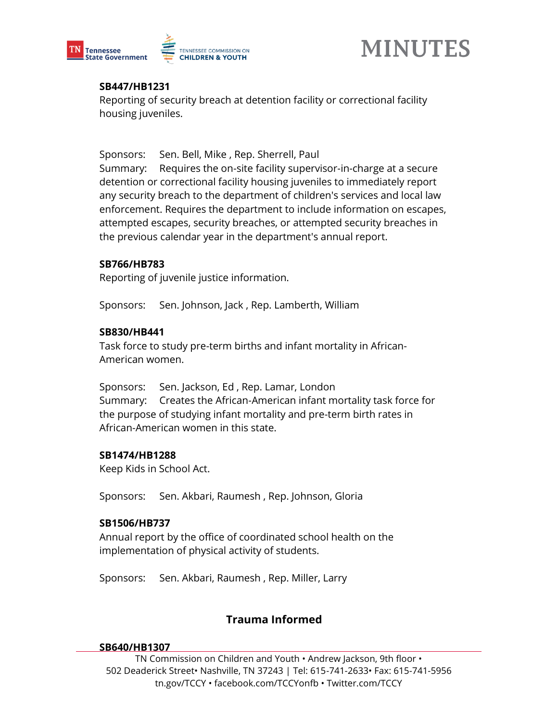



#### **SB447/HB1231**

Reporting of security breach at detention facility or correctional facility housing juveniles.

Sponsors: Sen. Bell, Mike , Rep. Sherrell, Paul

Summary: Requires the on-site facility supervisor-in-charge at a secure detention or correctional facility housing juveniles to immediately report any security breach to the department of children's services and local law enforcement. Requires the department to include information on escapes, attempted escapes, security breaches, or attempted security breaches in the previous calendar year in the department's annual report.

#### **SB766/HB783**

Reporting of juvenile justice information.

Sponsors: Sen. Johnson, Jack , Rep. Lamberth, William

#### **SB830/HB441**

Task force to study pre-term births and infant mortality in African-American women.

Sponsors: Sen. Jackson, Ed , Rep. Lamar, London Summary: Creates the African-American infant mortality task force for the purpose of studying infant mortality and pre-term birth rates in African-American women in this state.

#### **SB1474/HB1288**

Keep Kids in School Act.

Sponsors: Sen. Akbari, Raumesh , Rep. Johnson, Gloria

#### **SB1506/HB737**

Annual report by the office of coordinated school health on the implementation of physical activity of students.

Sponsors: Sen. Akbari, Raumesh , Rep. Miller, Larry

## **Trauma Informed**

#### **SB640/HB1307**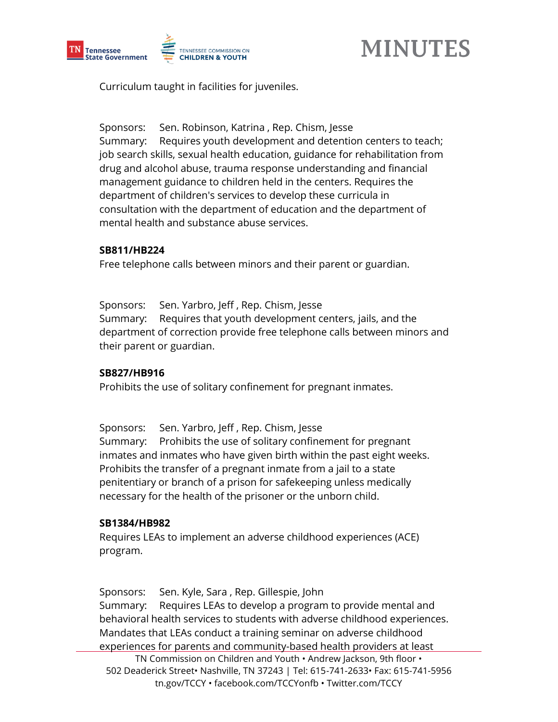



Curriculum taught in facilities for juveniles.

Sponsors: Sen. Robinson, Katrina , Rep. Chism, Jesse Summary: Requires youth development and detention centers to teach; job search skills, sexual health education, guidance for rehabilitation from drug and alcohol abuse, trauma response understanding and financial management guidance to children held in the centers. Requires the department of children's services to develop these curricula in consultation with the department of education and the department of mental health and substance abuse services.

#### **SB811/HB224**

Free telephone calls between minors and their parent or guardian.

Sponsors: Sen. Yarbro, Jeff , Rep. Chism, Jesse Summary: Requires that youth development centers, jails, and the department of correction provide free telephone calls between minors and their parent or guardian.

#### **SB827/HB916**

Prohibits the use of solitary confinement for pregnant inmates.

Sponsors: Sen. Yarbro, Jeff , Rep. Chism, Jesse Summary: Prohibits the use of solitary confinement for pregnant inmates and inmates who have given birth within the past eight weeks. Prohibits the transfer of a pregnant inmate from a jail to a state penitentiary or branch of a prison for safekeeping unless medically necessary for the health of the prisoner or the unborn child.

#### **SB1384/HB982**

Requires LEAs to implement an adverse childhood experiences (ACE) program.

TN Commission on Children and Youth • Andrew Jackson, 9th floor • 502 Deaderick Street• Nashville, TN 37243 | Tel: 615-741-2633• Fax: 615-741-5956 tn.gov/TCCY • facebook.com/TCCYonfb • Twitter.com/TCCY Sponsors: Sen. Kyle, Sara , Rep. Gillespie, John Summary: Requires LEAs to develop a program to provide mental and behavioral health services to students with adverse childhood experiences. Mandates that LEAs conduct a training seminar on adverse childhood experiences for parents and community-based health providers at least